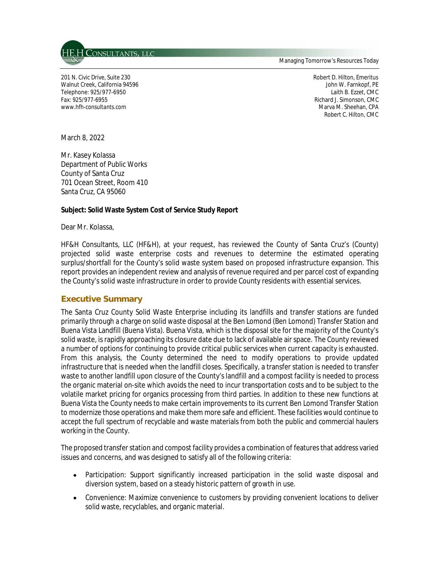

Managing Tomorrow's Resources Today

201 N. Civic Drive, Suite 230 Robert D. Hilton, Emeritus Walnut Creek, California 94596 John W. Farnkopf, PE Telephone: 925/977-6950 Laith B. Ezzet, CMC Fax: 925/977-6955 Richard J. Simonson, CMC www.hfh-consultants.com **Marva M. Sheehan, CPA** Marva M. Sheehan, CPA

Robert C. Hilton, CMC

March 8, 2022

Mr. Kasey Kolassa Department of Public Works County of Santa Cruz 701 Ocean Street, Room 410 Santa Cruz, CA 95060

#### **Subject: Solid Waste System Cost of Service Study Report**

Dear Mr. Kolassa,

HF&H Consultants, LLC (HF&H), at your request, has reviewed the County of Santa Cruz's (County) projected solid waste enterprise costs and revenues to determine the estimated operating surplus/shortfall for the County's solid waste system based on proposed infrastructure expansion. This report provides an independent review and analysis of revenue required and per parcel cost of expanding the County's solid waste infrastructure in order to provide County residents with essential services.

## **Executive Summary**

The Santa Cruz County Solid Waste Enterprise including its landfills and transfer stations are funded primarily through a charge on solid waste disposal at the Ben Lomond (Ben Lomond) Transfer Station and Buena Vista Landfill (Buena Vista). Buena Vista, which is the disposal site for the majority of the County's solid waste, is rapidly approaching its closure date due to lack of available air space. The County reviewed a number of options for continuing to provide critical public services when current capacity is exhausted. From this analysis, the County determined the need to modify operations to provide updated infrastructure that is needed when the landfill closes. Specifically, a transfer station is needed to transfer waste to another landfill upon closure of the County's landfill and a compost facility is needed to process the organic material on-site which avoids the need to incur transportation costs and to be subject to the volatile market pricing for organics processing from third parties. In addition to these new functions at Buena Vista the County needs to make certain improvements to its current Ben Lomond Transfer Station to modernize those operations and make them more safe and efficient. These facilities would continue to accept the full spectrum of recyclable and waste materials from both the public and commercial haulers working in the County.

The proposed transfer station and compost facility provides a combination of features that address varied issues and concerns, and was designed to satisfy all of the following criteria:

- Participation: Support significantly increased participation in the solid waste disposal and diversion system, based on a steady historic pattern of growth in use.
- Convenience: Maximize convenience to customers by providing convenient locations to deliver solid waste, recyclables, and organic material.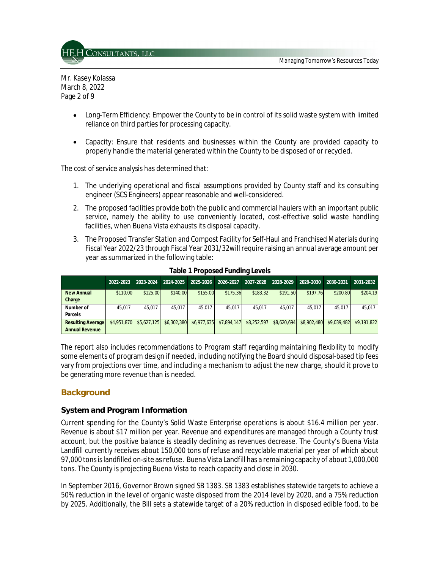

Mr. Kasey Kolassa March 8, 2022 Page 2 of 9

- Long-Term Efficiency: Empower the County to be in control of its solid waste system with limited reliance on third parties for processing capacity.
- $\bullet$ Capacity: Ensure that residents and businesses within the County are provided capacity to properly handle the material generated within the County to be disposed of or recycled.

The cost of service analysis has determined that:

- 1. The underlying operational and fiscal assumptions provided by County staff and its consulting engineer (SCS Engineers) appear reasonable and well-considered.
- 2. The proposed facilities provide both the public and commercial haulers with an important public service, namely the ability to use conveniently located, cost-effective solid waste handling facilities, when Buena Vista exhausts its disposal capacity.
- 3. The Proposed Transfer Station and Compost Facility for Self-Haul and Franchised Materials during Fiscal Year 2022/23 through Fiscal Year 2031/32will require raising an annual average amount per year as summarized in the following table:

|                          | 2022-2023   | 2023-2024   | 2024-2025   | 2025-2026   | 2026-2027   | 2027-2028   | 2028-2029   | 2029-2030   | 2030-2031   | 2031-2032   |
|--------------------------|-------------|-------------|-------------|-------------|-------------|-------------|-------------|-------------|-------------|-------------|
| <b>New Annual</b>        | \$110.00    | \$125.00    | \$140.00    | \$155.00    | \$175.36    | \$183.32    | \$191.50    | \$197.76    | \$200.80    | \$204.19    |
| Charge                   |             |             |             |             |             |             |             |             |             |             |
| Number of                | 45.017      | 45.017      | 45.017      | 45.017      | 45.017      | 45.017      | 45.017      | 45.017      | 45.017      | 45.017      |
| Parcels                  |             |             |             |             |             |             |             |             |             |             |
| <b>Resulting Average</b> | \$4,951,870 | \$5,627,125 | \$6,302,380 | \$6.977.635 | \$7.894.147 | \$8,252,597 | \$8,620,694 | \$8,902,480 | \$9.039.482 | \$9.191.822 |
| <b>Annual Revenue</b>    |             |             |             |             |             |             |             |             |             |             |

**Table 1 Proposed Funding Levels**

The report also includes recommendations to Program staff regarding maintaining flexibility to modify some elements of program design if needed, including notifying the Board should disposal-based tip fees vary from projections over time, and including a mechanism to adjust the new charge, should it prove to be generating more revenue than is needed.

## **Background**

#### **System and Program Information**

Current spending for the County's Solid Waste Enterprise operations is about \$16.4 million per year. Revenue is about \$17 million per year. Revenue and expenditures are managed through a County trust account, but the positive balance is steadily declining as revenues decrease. The County's Buena Vista Landfill currently receives about 150,000 tons of refuse and recyclable material per year of which about 97,000 tons is landfilled on-site as refuse. Buena Vista Landfill has a remaining capacity of about 1,000,000 tons. The County is projecting Buena Vista to reach capacity and close in 2030.

In September 2016, Governor Brown signed SB 1383. SB 1383 establishes statewide targets to achieve a 50% reduction in the level of organic waste disposed from the 2014 level by 2020, and a 75% reduction by 2025. Additionally, the Bill sets a statewide target of a 20% reduction in disposed edible food, to be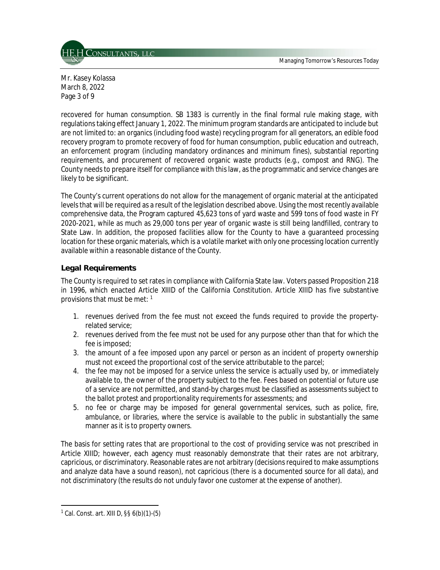Managing Tomorrow's Resources Today



Mr. Kasey Kolassa March 8, 2022 Page 3 of 9

recovered for human consumption. SB 1383 is currently in the final formal rule making stage, with regulations taking effect January 1, 2022. The minimum program standards are anticipated to include but are not limited to: an organics (including food waste) recycling program for all generators, an edible food recovery program to promote recovery of food for human consumption, public education and outreach, an enforcement program (including mandatory ordinances and minimum fines), substantial reporting requirements, and procurement of recovered organic waste products (e.g., compost and RNG). The County needs to prepare itself for compliance with this law, as the programmatic and service changes are likely to be significant.

The County's current operations do not allow for the management of organic material at the anticipated levels that will be required as a result of the legislation described above. Using the most recently available comprehensive data, the Program captured 45,623 tons of yard waste and 599 tons of food waste in FY 2020-2021, while as much as 29,000 tons per year of organic waste is still being landfilled, contrary to State Law. In addition, the proposed facilities allow for the County to have a guaranteed processing location for these organic materials, which is a volatile market with only one processing location currently available within a reasonable distance of the County.

## **Legal Requirements**

The County is required to set rates in compliance with California State law. Voters passed Proposition 218 in 1996, which enacted Article XIIID of the California Constitution. Article XIIID has five substantive provisions that must be met: <sup>1</sup>

- 1. revenues derived from the fee must not exceed the funds required to provide the propertyrelated service;
- 2. revenues derived from the fee must not be used for any purpose other than that for which the fee is imposed;
- 3. the amount of a fee imposed upon any parcel or person as an incident of property ownership must not exceed the proportional cost of the service attributable to the parcel;
- 4. the fee may not be imposed for a service unless the service is actually used by, or immediately available to, the owner of the property subject to the fee. Fees based on potential or future use of a service are not permitted, and stand-by charges must be classified as assessments subject to the ballot protest and proportionality requirements for assessments; and
- 5. no fee or charge may be imposed for general governmental services, such as police, fire, ambulance, or libraries, where the service is available to the public in substantially the same manner as it is to property owners.

The basis for setting rates that are proportional to the cost of providing service was not prescribed in Article XIIID; however, each agency must reasonably demonstrate that their rates are not arbitrary, capricious, or discriminatory. Reasonable rates are not arbitrary (decisions required to make assumptions and analyze data have a sound reason), not capricious (there is a documented source for all data), and not discriminatory (the results do not unduly favor one customer at the expense of another).

 $1$  Cal. Const. art. XIII D, §§ 6(b)(1)-(5)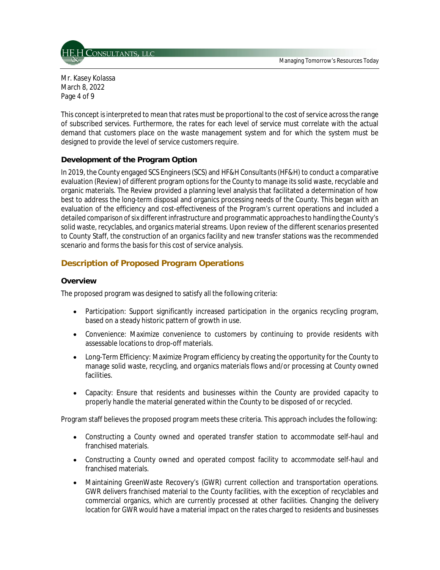Managing Tomorrow's Resources Today



Mr. Kasey Kolassa March 8, 2022 Page 4 of 9

This concept is interpreted to mean that rates must be proportional to the cost of service across the range of subscribed services. Furthermore, the rates for each level of service must correlate with the actual demand that customers place on the waste management system and for which the system must be designed to provide the level of service customers require.

## **Development of the Program Option**

In 2019, the County engaged SCS Engineers (SCS) and HF&H Consultants (HF&H) to conduct a comparative evaluation (Review) of different program options for the County to manage its solid waste, recyclable and organic materials. The Review provided a planning level analysis that facilitated a determination of how best to address the long-term disposal and organics processing needs of the County. This began with an evaluation of the efficiency and cost-effectiveness of the Program's current operations and included a detailed comparison of six different infrastructure and programmatic approaches to handling the County's solid waste, recyclables, and organics material streams. Upon review of the different scenarios presented to County Staff, the construction of an organics facility and new transfer stations was the recommended scenario and forms the basis for this cost of service analysis.

## **Description of Proposed Program Operations**

## **Overview**

The proposed program was designed to satisfy all the following criteria:

- Participation: Support significantly increased participation in the organics recycling program,  $\bullet$ based on a steady historic pattern of growth in use.
- Convenience: Maximize convenience to customers by continuing to provide residents with assessable locations to drop-off materials.
- Long-Term Efficiency: Maximize Program efficiency by creating the opportunity for the County to manage solid waste, recycling, and organics materials flows and/or processing at County owned facilities.
- $\bullet$ Capacity: Ensure that residents and businesses within the County are provided capacity to properly handle the material generated within the County to be disposed of or recycled.

Program staff believes the proposed program meets these criteria. This approach includes the following:

- Constructing a County owned and operated transfer station to accommodate self-haul and franchised materials.
- Constructing a County owned and operated compost facility to accommodate self-haul and franchised materials.
- Maintaining GreenWaste Recovery's (GWR) current collection and transportation operations. GWR delivers franchised material to the County facilities, with the exception of recyclables and commercial organics, which are currently processed at other facilities. Changing the delivery location for GWR would have a material impact on the rates charged to residents and businesses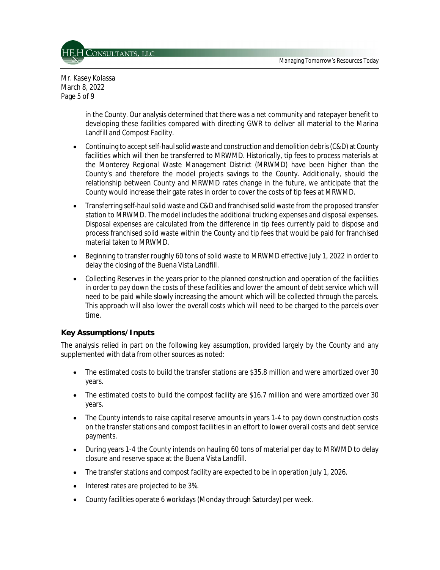

Mr. Kasey Kolassa March 8, 2022 Page 5 of 9

> in the County. Our analysis determined that there was a net community and ratepayer benefit to developing these facilities compared with directing GWR to deliver all material to the Marina Landfill and Compost Facility.

- Continuing to accept self-haul solid waste and construction and demolition debris (C&D) at County  $\bullet$ facilities which will then be transferred to MRWMD. Historically, tip fees to process materials at the Monterey Regional Waste Management District (MRWMD) have been higher than the County's and therefore the model projects savings to the County. Additionally, should the relationship between County and MRWMD rates change in the future, we anticipate that the County would increase their gate rates in order to cover the costs of tip fees at MRWMD.
- Transferring self-haul solid waste and C&D and franchised solid waste from the proposed transfer  $\bullet$ station to MRWMD. The model includes the additional trucking expenses and disposal expenses. Disposal expenses are calculated from the difference in tip fees currently paid to dispose and process franchised solid waste within the County and tip fees that would be paid for franchised material taken to MRWMD.
- $\bullet$ Beginning to transfer roughly 60 tons of solid waste to MRWMD effective July 1, 2022 in order to delay the closing of the Buena Vista Landfill.
- Collecting Reserves in the years prior to the planned construction and operation of the facilities  $\bullet$ in order to pay down the costs of these facilities and lower the amount of debt service which will need to be paid while slowly increasing the amount which will be collected through the parcels. This approach will also lower the overall costs which will need to be charged to the parcels over time.

#### **Key Assumptions/Inputs**

The analysis relied in part on the following key assumption, provided largely by the County and any supplemented with data from other sources as noted:

- The estimated costs to build the transfer stations are \$35.8 million and were amortized over 30 years.
- The estimated costs to build the compost facility are \$16.7 million and were amortized over 30 years.
- The County intends to raise capital reserve amounts in years 1-4 to pay down construction costs on the transfer stations and compost facilities in an effort to lower overall costs and debt service payments.
- $\bullet$ During years 1-4 the County intends on hauling 60 tons of material per day to MRWMD to delay closure and reserve space at the Buena Vista Landfill.
- The transfer stations and compost facility are expected to be in operation July 1, 2026.  $\bullet$
- Interest rates are projected to be 3%.
- County facilities operate 6 workdays (Monday through Saturday) per week.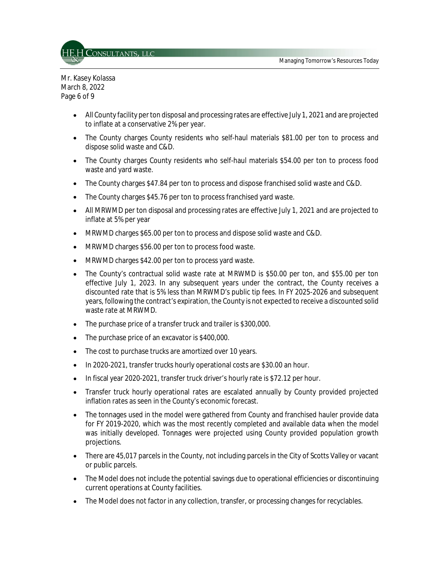

Mr. Kasey Kolassa March 8, 2022 Page 6 of 9

- $\bullet$ All County facility per ton disposal and processing rates are effective July 1, 2021 and are projected to inflate at a conservative 2% per year.
- The County charges County residents who self-haul materials \$81.00 per ton to process and dispose solid waste and C&D.
- The County charges County residents who self-haul materials \$54.00 per ton to process food waste and yard waste.
- The County charges \$47.84 per ton to process and dispose franchised solid waste and C&D.  $\bullet$
- The County charges \$45.76 per ton to process franchised yard waste.
- All MRWMD per ton disposal and processing rates are effective July 1, 2021 and are projected to inflate at 5% per year
- MRWMD charges \$65.00 per ton to process and dispose solid waste and C&D.
- MRWMD charges \$56.00 per ton to process food waste.
- MRWMD charges \$42.00 per ton to process yard waste.
- The County's contractual solid waste rate at MRWMD is \$50.00 per ton, and \$55.00 per ton effective July 1, 2023. In any subsequent years under the contract, the County receives a discounted rate that is 5% less than MRWMD's public tip fees. In FY 2025-2026 and subsequent years, following the contract's expiration, the County is not expected to receive a discounted solid waste rate at MRWMD.
- The purchase price of a transfer truck and trailer is \$300,000.
- The purchase price of an excavator is \$400,000.
- The cost to purchase trucks are amortized over 10 years.
- In 2020-2021, transfer trucks hourly operational costs are \$30.00 an hour.
- In fiscal year 2020-2021, transfer truck driver's hourly rate is \$72.12 per hour.
- Transfer truck hourly operational rates are escalated annually by County provided projected  $\bullet$ inflation rates as seen in the County's economic forecast.
- $\bullet$ The tonnages used in the model were gathered from County and franchised hauler provide data for FY 2019-2020, which was the most recently completed and available data when the model was initially developed. Tonnages were projected using County provided population growth projections.
- There are 45,017 parcels in the County, not including parcels in the City of Scotts Valley or vacant or public parcels.
- The Model does not include the potential savings due to operational efficiencies or discontinuing current operations at County facilities.
- The Model does not factor in any collection, transfer, or processing changes for recyclables.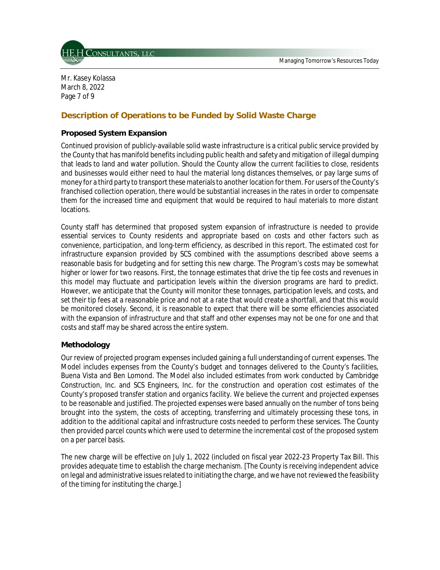

Mr. Kasey Kolassa March 8, 2022 Page 7 of 9

# **Description of Operations to be Funded by Solid Waste Charge**

### **Proposed System Expansion**

Continued provision of publicly-available solid waste infrastructure is a critical public service provided by the County that has manifold benefits including public health and safety and mitigation of illegal dumping that leads to land and water pollution. Should the County allow the current facilities to close, residents and businesses would either need to haul the material long distances themselves, or pay large sums of money for a third party to transport these materials to another location for them. For users of the County's franchised collection operation, there would be substantial increases in the rates in order to compensate them for the increased time and equipment that would be required to haul materials to more distant locations.

County staff has determined that proposed system expansion of infrastructure is needed to provide essential services to County residents and appropriate based on costs and other factors such as convenience, participation, and long-term efficiency, as described in this report. The estimated cost for infrastructure expansion provided by SCS combined with the assumptions described above seems a reasonable basis for budgeting and for setting this new charge. The Program's costs may be somewhat higher or lower for two reasons. First, the tonnage estimates that drive the tip fee costs and revenues in this model may fluctuate and participation levels within the diversion programs are hard to predict. However, we anticipate that the County will monitor these tonnages, participation levels, and costs, and set their tip fees at a reasonable price and not at a rate that would create a shortfall, and that this would be monitored closely. Second, it is reasonable to expect that there will be some efficiencies associated with the expansion of infrastructure and that staff and other expenses may not be one for one and that costs and staff may be shared across the entire system.

#### **Methodology**

Our review of projected program expenses included gaining a full understanding of current expenses. The Model includes expenses from the County's budget and tonnages delivered to the County's facilities, Buena Vista and Ben Lomond. The Model also included estimates from work conducted by Cambridge Construction, Inc. and SCS Engineers, Inc. for the construction and operation cost estimates of the County's proposed transfer station and organics facility. We believe the current and projected expenses to be reasonable and justified. The projected expenses were based annually on the number of tons being brought into the system, the costs of accepting, transferring and ultimately processing these tons, in addition to the additional capital and infrastructure costs needed to perform these services. The County then provided parcel counts which were used to determine the incremental cost of the proposed system on a per parcel basis.

The new charge will be effective on July 1, 2022 (included on fiscal year 2022-23 Property Tax Bill. This provides adequate time to establish the charge mechanism. [The County is receiving independent advice on legal and administrative issues related to initiating the charge, and we have not reviewed the feasibility of the timing for instituting the charge.]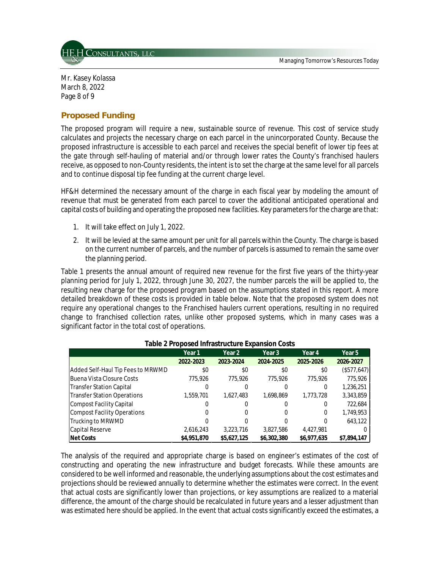

Mr. Kasey Kolassa March 8, 2022 Page 8 of 9

## **Proposed Funding**

The proposed program will require a new, sustainable source of revenue. This cost of service study calculates and projects the necessary charge on each parcel in the unincorporated County. Because the proposed infrastructure is accessible to each parcel and receives the special benefit of lower tip fees at the gate through self-hauling of material and/or through lower rates the County's franchised haulers receive, as opposed to non-County residents, the intent is to set the charge at the same level for all parcels and to continue disposal tip fee funding at the current charge level.

HF&H determined the necessary amount of the charge in each fiscal year by modeling the amount of revenue that must be generated from each parcel to cover the additional anticipated operational and capital costs of building and operating the proposed new facilities. Key parameters for the charge are that:

- 1. It will take effect on July 1, 2022.
- 2. It will be levied at the same amount per unit for all parcels within the County. The charge is based on the current number of parcels, and the number of parcels is assumed to remain the same over the planning period.

Table 1 presents the annual amount of required new revenue for the first five years of the thirty-year planning period for July 1, 2022, through June 30, 2027, the number parcels the will be applied to, the resulting new charge for the proposed program based on the assumptions stated in this report. A more detailed breakdown of these costs is provided in table below. Note that the proposed system does not require any operational changes to the Franchised haulers current operations, resulting in no required change to franchised collection rates, unlike other proposed systems, which in many cases was a significant factor in the total cost of operations.

|                                    | Year 1      | Year 2      | Year 3      | Year 4      | Year 5      |
|------------------------------------|-------------|-------------|-------------|-------------|-------------|
|                                    | 2022-2023   | 2023-2024   | 2024-2025   | 2025-2026   | 2026-2027   |
| Added Self-Haul Tip Fees to MRWMD  | \$0         | \$0         | \$0         | \$0         | (S577, 647) |
| Buena Vista Closure Costs          | 775,926     | 775,926     | 775,926     | 775.926     | 775,926     |
| <b>Transfer Station Capital</b>    |             |             |             |             | 1,236,251   |
| <b>Transfer Station Operations</b> | 1,559,701   | 1.627.483   | 1.698.869   | 1,773,728   | 3,343,859   |
| <b>Compost Facility Capital</b>    |             |             |             |             | 722,684     |
| <b>Compost Facility Operations</b> |             |             | 0           | 0           | 1,749,953   |
| Trucking to MRWMD                  |             |             |             | 0           | 643.122     |
| Capital Reserve                    | 2,616,243   | 3,223,716   | 3.827.586   | 4.427.981   |             |
| <b>INet Costs</b>                  | \$4,951,870 | \$5,627,125 | \$6,302,380 | \$6,977,635 | \$7.894.147 |

#### **Table 2 Proposed Infrastructure Expansion Costs**

The analysis of the required and appropriate charge is based on engineer's estimates of the cost of constructing and operating the new infrastructure and budget forecasts. While these amounts are considered to be well informed and reasonable, the underlying assumptions about the cost estimates and projections should be reviewed annually to determine whether the estimates were correct. In the event that actual costs are significantly lower than projections, or key assumptions are realized to a material difference, the amount of the charge should be recalculated in future years and a lesser adjustment than was estimated here should be applied. In the event that actual costs significantly exceed the estimates, a